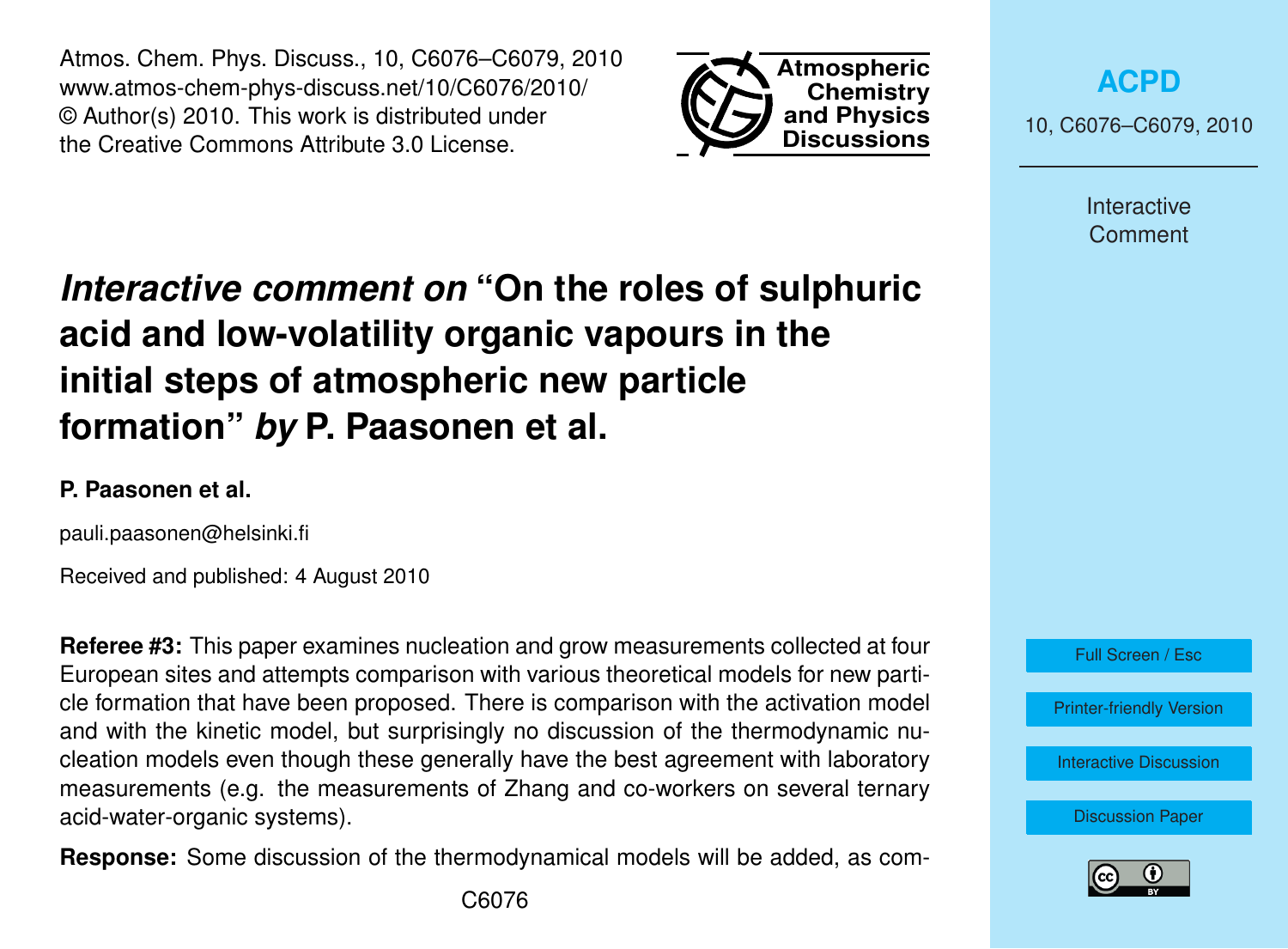Atmos. Chem. Phys. Discuss., 10, C6076–C6079, 2010 www.atmos-chem-phys-discuss.net/10/C6076/2010/ © Author(s) 2010. This work is distributed under the Creative Commons Attribute 3.0 License.



**[ACPD](http://www.atmos-chem-phys-discuss.net)**

10, C6076–C6079, 2010

Interactive **Comment** 

## *Interactive comment on* **"On the roles of sulphuric acid and low-volatility organic vapours in the initial steps of atmospheric new particle formation"** *by* **P. Paasonen et al.**

## **P. Paasonen et al.**

pauli.paasonen@helsinki.fi

Received and published: 4 August 2010

**Referee #3:** This paper examines nucleation and grow measurements collected at four European sites and attempts comparison with various theoretical models for new particle formation that have been proposed. There is comparison with the activation model and with the kinetic model, but surprisingly no discussion of the thermodynamic nucleation models even though these generally have the best agreement with laboratory measurements (e.g. the measurements of Zhang and co-workers on several ternary acid-water-organic systems).

**Response:** Some discussion of the thermodynamical models will be added, as com-



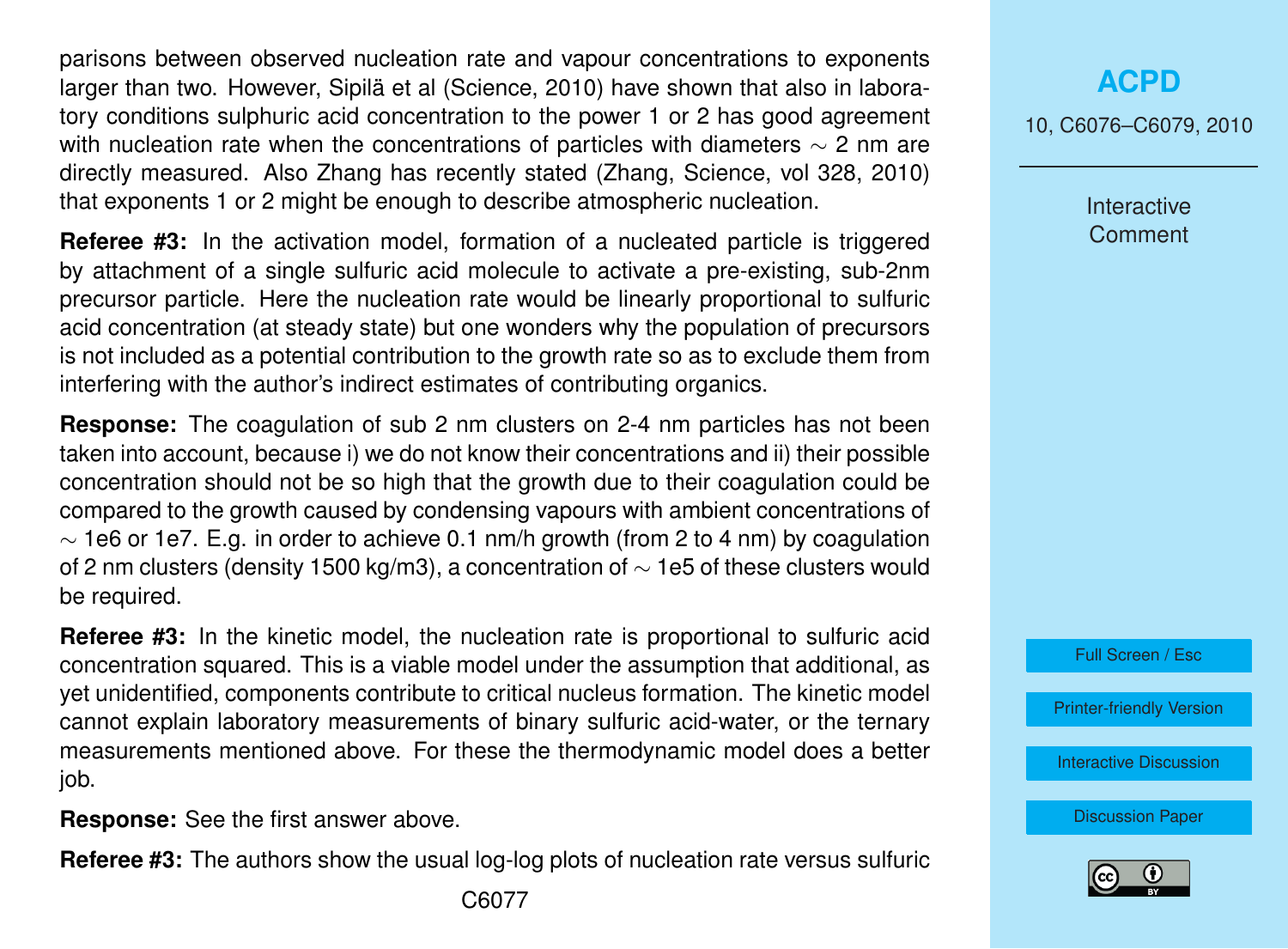parisons between observed nucleation rate and vapour concentrations to exponents larger than two. However, Sipilä et al (Science, 2010) have shown that also in laboratory conditions sulphuric acid concentration to the power 1 or 2 has good agreement with nucleation rate when the concentrations of particles with diameters  $\sim$  2 nm are directly measured. Also Zhang has recently stated (Zhang, Science, vol 328, 2010) that exponents 1 or 2 might be enough to describe atmospheric nucleation.

**Referee #3:** In the activation model, formation of a nucleated particle is triggered by attachment of a single sulfuric acid molecule to activate a pre-existing, sub-2nm precursor particle. Here the nucleation rate would be linearly proportional to sulfuric acid concentration (at steady state) but one wonders why the population of precursors is not included as a potential contribution to the growth rate so as to exclude them from interfering with the author's indirect estimates of contributing organics.

**Response:** The coagulation of sub 2 nm clusters on 2-4 nm particles has not been taken into account, because i) we do not know their concentrations and ii) their possible concentration should not be so high that the growth due to their coagulation could be compared to the growth caused by condensing vapours with ambient concentrations of  $\sim$  1e6 or 1e7. E.g. in order to achieve 0.1 nm/h growth (from 2 to 4 nm) by coagulation of 2 nm clusters (density 1500 kg/m3), a concentration of  $\sim$  1e5 of these clusters would be required.

**Referee #3:** In the kinetic model, the nucleation rate is proportional to sulfuric acid concentration squared. This is a viable model under the assumption that additional, as yet unidentified, components contribute to critical nucleus formation. The kinetic model cannot explain laboratory measurements of binary sulfuric acid-water, or the ternary measurements mentioned above. For these the thermodynamic model does a better job.

**Response:** See the first answer above.

**Referee #3:** The authors show the usual log-log plots of nucleation rate versus sulfuric

10, C6076–C6079, 2010

Interactive **Comment** 



[Printer-friendly Version](http://www.atmos-chem-phys-discuss.net/10/C6076/2010/acpd-10-C6076-2010-print.pdf)

[Interactive Discussion](http://www.atmos-chem-phys-discuss.net/10/11795/2010/acpd-10-11795-2010-discussion.html)

[Discussion Paper](http://www.atmos-chem-phys-discuss.net/10/11795/2010/acpd-10-11795-2010.pdf)

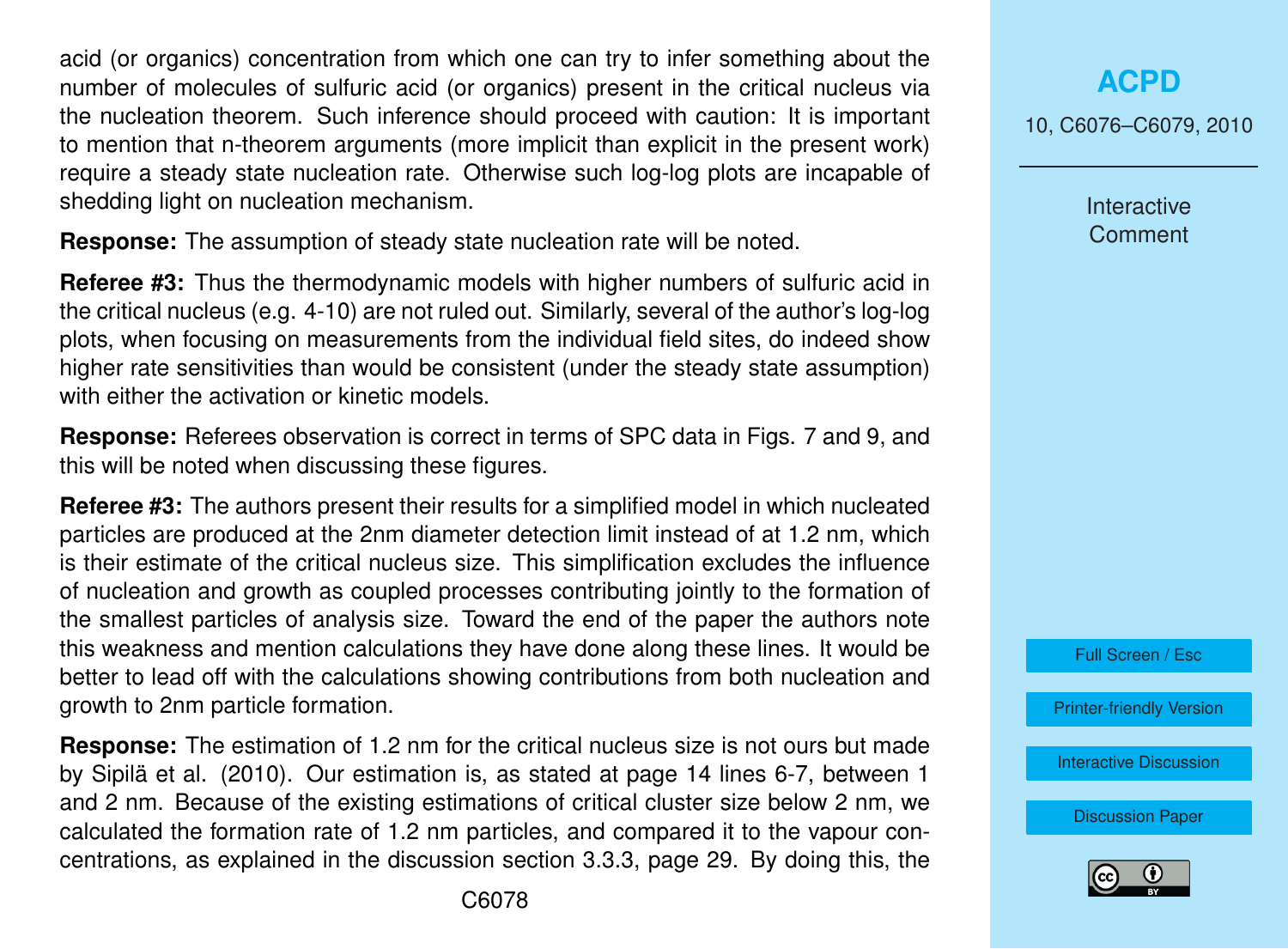acid (or organics) concentration from which one can try to infer something about the number of molecules of sulfuric acid (or organics) present in the critical nucleus via the nucleation theorem. Such inference should proceed with caution: It is important to mention that n-theorem arguments (more implicit than explicit in the present work) require a steady state nucleation rate. Otherwise such log-log plots are incapable of shedding light on nucleation mechanism.

**Response:** The assumption of steady state nucleation rate will be noted.

**Referee #3:** Thus the thermodynamic models with higher numbers of sulfuric acid in the critical nucleus (e.g. 4-10) are not ruled out. Similarly, several of the author's log-log plots, when focusing on measurements from the individual field sites, do indeed show higher rate sensitivities than would be consistent (under the steady state assumption) with either the activation or kinetic models.

**Response:** Referees observation is correct in terms of SPC data in Figs. 7 and 9, and this will be noted when discussing these figures.

**Referee #3:** The authors present their results for a simplified model in which nucleated particles are produced at the 2nm diameter detection limit instead of at 1.2 nm, which is their estimate of the critical nucleus size. This simplification excludes the influence of nucleation and growth as coupled processes contributing jointly to the formation of the smallest particles of analysis size. Toward the end of the paper the authors note this weakness and mention calculations they have done along these lines. It would be better to lead off with the calculations showing contributions from both nucleation and growth to 2nm particle formation.

**Response:** The estimation of 1.2 nm for the critical nucleus size is not ours but made by Sipilä et al. (2010). Our estimation is, as stated at page 14 lines 6-7, between 1 and 2 nm. Because of the existing estimations of critical cluster size below 2 nm, we calculated the formation rate of 1.2 nm particles, and compared it to the vapour concentrations, as explained in the discussion section 3.3.3, page 29. By doing this, the **[ACPD](http://www.atmos-chem-phys-discuss.net)**

10, C6076–C6079, 2010

Interactive **Comment** 



[Printer-friendly Version](http://www.atmos-chem-phys-discuss.net/10/C6076/2010/acpd-10-C6076-2010-print.pdf)

[Interactive Discussion](http://www.atmos-chem-phys-discuss.net/10/11795/2010/acpd-10-11795-2010-discussion.html)

[Discussion Paper](http://www.atmos-chem-phys-discuss.net/10/11795/2010/acpd-10-11795-2010.pdf)